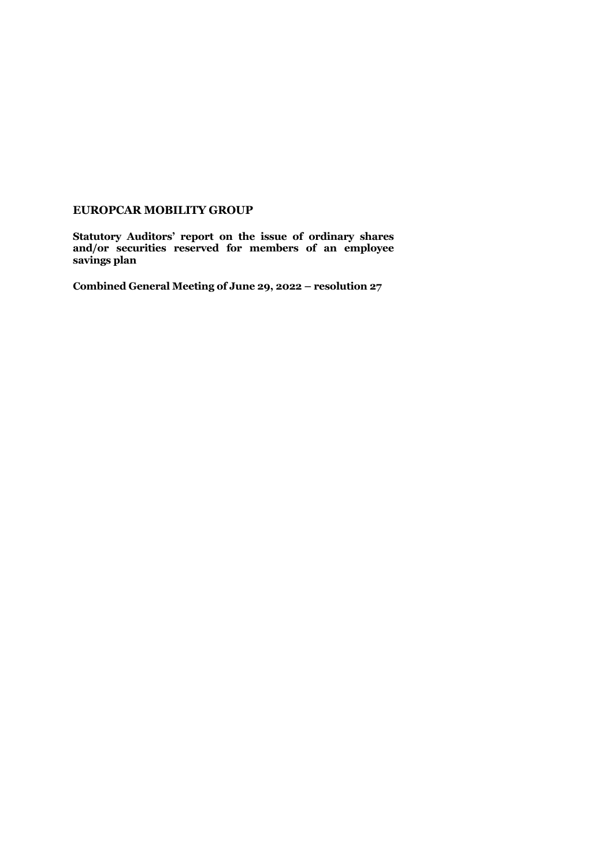## **EUROPCAR MOBILITY GROUP**

**Statutory Auditors' report on the issue of ordinary shares and/or securities reserved for members of an employee savings plan**

**Combined General Meeting of June 29, 2022 – resolution 27**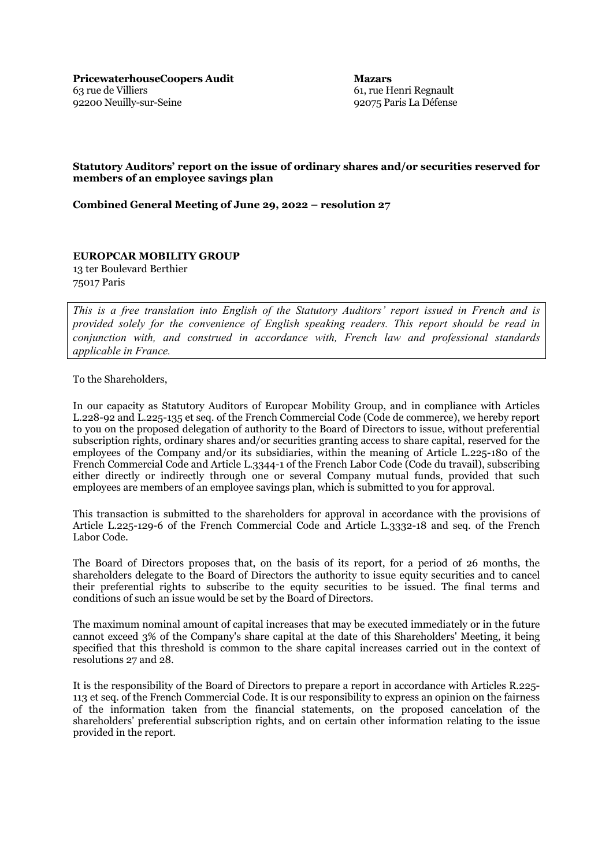**Mazars** 61, rue Henri Regnault 92075 Paris La Défense

## **Statutory Auditors' report on the issue of ordinary shares and/or securities reserved for members of an employee savings plan**

**Combined General Meeting of June 29, 2022 – resolution 27**

## **EUROPCAR MOBILITY GROUP**

13 ter Boulevard Berthier 75017 Paris

*This is a free translation into English of the Statutory Auditors' report issued in French and is provided solely for the convenience of English speaking readers. This report should be read in conjunction with, and construed in accordance with, French law and professional standards applicable in France.*

To the Shareholders,

In our capacity as Statutory Auditors of Europcar Mobility Group, and in compliance with Articles L.228-92 and L.225-135 et seq. of the French Commercial Code (Code de commerce), we hereby report to you on the proposed delegation of authority to the Board of Directors to issue, without preferential subscription rights, ordinary shares and/or securities granting access to share capital, reserved for the employees of the Company and/or its subsidiaries, within the meaning of Article L.225-180 of the French Commercial Code and Article L.3344-1 of the French Labor Code (Code du travail), subscribing either directly or indirectly through one or several Company mutual funds, provided that such employees are members of an employee savings plan, which is submitted to you for approval.

This transaction is submitted to the shareholders for approval in accordance with the provisions of Article L.225-129-6 of the French Commercial Code and Article L.3332-18 and seq. of the French Labor Code.

The Board of Directors proposes that, on the basis of its report, for a period of 26 months, the shareholders delegate to the Board of Directors the authority to issue equity securities and to cancel their preferential rights to subscribe to the equity securities to be issued. The final terms and conditions of such an issue would be set by the Board of Directors.

The maximum nominal amount of capital increases that may be executed immediately or in the future cannot exceed 3% of the Company's share capital at the date of this Shareholders' Meeting, it being specified that this threshold is common to the share capital increases carried out in the context of resolutions 27 and 28.

It is the responsibility of the Board of Directors to prepare a report in accordance with Articles R.225- 113 et seq. of the French Commercial Code. It is our responsibility to express an opinion on the fairness of the information taken from the financial statements, on the proposed cancelation of the shareholders' preferential subscription rights, and on certain other information relating to the issue provided in the report.